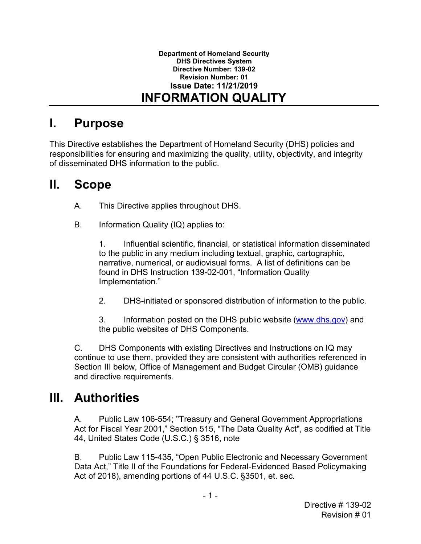## **I. Purpose**

 of disseminated DHS information to the public. This Directive establishes the Department of Homeland Security (DHS) policies and responsibilities for ensuring and maximizing the quality, utility, objectivity, and integrity

#### **II. Scope**

- A. This Directive applies throughout DHS.
- B. Information Quality (IQ) applies to:

 1. Influential scientific, financial, or statistical information disseminated to the public in any medium including textual, graphic, cartographic, narrative, numerical, or audiovisual forms. A list of definitions can be found in DHS Instruction 139-02-001, "Information Quality Implementation."

2. DHS-initiated or sponsored distribution of information to the public.

3. Information posted on the DHS public website [\(www.dhs.gov\)](http://www.dhs.gov/) and the public websites of DHS Components.

 C. DHS Components with existing Directives and Instructions on IQ may continue to use them, provided they are consistent with authorities referenced in Section III below, Office of Management and Budget Circular (OMB) guidance and directive requirements.

## **III. Authorities**

A. Public Law 106-554; "Treasury and General Government Appropriations Act for Fiscal Year 2001," Section 515, "The Data Quality Act", as codified at Title 44, United States Code (U.S.C.) § 3516, note

B. Public Law 115-435, "Open Public Electronic and Necessary Government Data Act," Title II of the Foundations for Federal-Evidenced Based Policymaking Act of 2018), amending portions of 44 U.S.C. §3501, et. sec.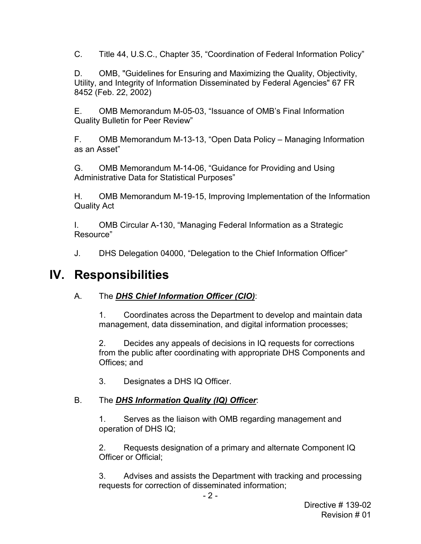C. Title 44, U.S.C., Chapter 35, "Coordination of Federal Information Policy"

D. OMB, "Guidelines for Ensuring and Maximizing the Quality, Objectivity, Utility, and Integrity of Information Disseminated by Federal Agencies" 67 FR 8452 (Feb. 22, 2002)

E. OMB Memorandum M-05-03, "Issuance of OMB's Final Information Quality Bulletin for Peer Review"

F. OMB Memorandum M-13-13, "Open Data Policy – Managing Information as an Asset"

G. OMB Memorandum M-14-06, "Guidance for Providing and Using Administrative Data for Statistical Purposes"

H. OMB Memorandum M-19-15, Improving Implementation of the Information Quality Act

I. OMB Circular A-130, "Managing Federal Information as a Strategic Resource"

J. DHS Delegation 04000, "Delegation to the Chief Information Officer"

### **IV. Responsibilities**

### A. The *DHS Chief Information Officer (CIO)*:

 management, data dissemination, and digital information processes; 1. Coordinates across the Department to develop and maintain data

 from the public after coordinating with appropriate DHS Components and 2. Decides any appeals of decisions in IQ requests for corrections Offices; and

3. Designates a DHS IQ Officer.

### B. The *DHS Information Quality (IQ) Officer*:

1. Serves as the liaison with OMB regarding management and operation of DHS IQ;

 2. Requests designation of a primary and alternate Component IQ Officer or Official;

3. Advises and assists the Department with tracking and processing requests for correction of disseminated information;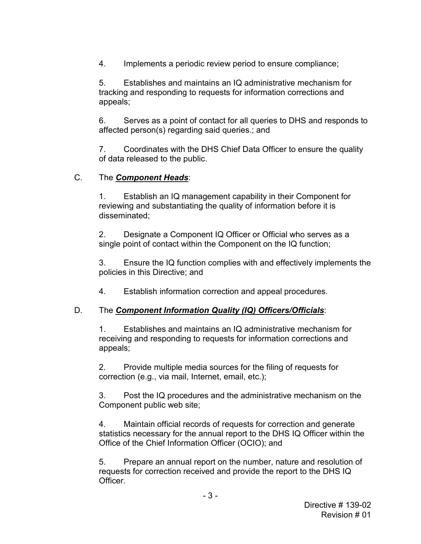4. Implements a periodic review period to ensure compliance;

5. Establishes and maintains an IQ administrative mechanism for tracking and responding to requests for information corrections and appeals;

 6. Serves as a point of contact for all queries to DHS and responds to affected person(s) regarding said queries.; and

7. Coordinates with the DHS Chief Data Officer to ensure the quality of data released to the public.

#### The Component Heads:

 C. The *Component Heads*: 1. Establish an IQ management capability in their Component for reviewing and substantiating the quality of information before it is disseminated;

 2. Designate a Component IQ Officer or Official who serves as a single point of contact within the Component on the IQ function;

3. Ensure the IQ function complies with and effectively implements the policies in this Directive; and

4. Establish information correction and appeal procedures.

### D. The *Component Information Quality (IQ) Officers/Officials*:

1. Establishes and maintains an IQ administrative mechanism for receiving and responding to requests for information corrections and appeals;

 correction (e.g., via mail, Internet, email, etc.); 2. Provide multiple media sources for the filing of requests for

 Component public web site; 3. Post the IQ procedures and the administrative mechanism on the

 4. Maintain official records of requests for correction and generate statistics necessary for the annual report to the DHS IQ Officer within the Office of the Chief Information Officer (OCIO); and

 5. Prepare an annual report on the number, nature and resolution of requests for correction received and provide the report to the DHS IQ Officer.